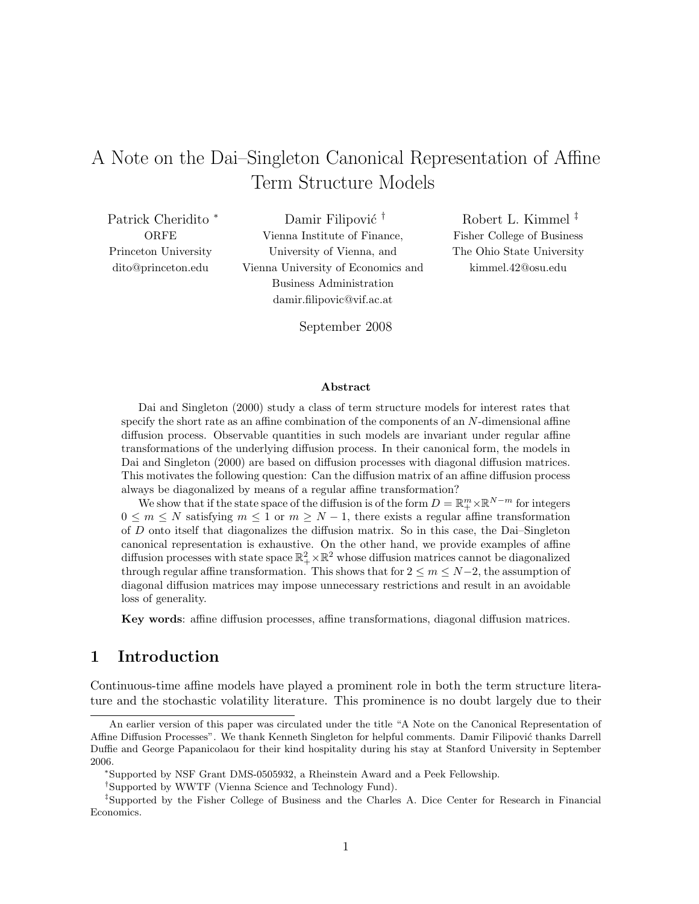# A Note on the Dai–Singleton Canonical Representation of Affine Term Structure Models

Patrick Cheridito <sup>∗</sup> ORFE Princeton University dito@princeton.edu

Damir Filipović<sup>†</sup> Vienna Institute of Finance, University of Vienna, and Vienna University of Economics and Business Administration damir.filipovic@vif.ac.at

Robert L. Kimmel ‡ Fisher College of Business The Ohio State University kimmel.42@osu.edu

September 2008

### Abstract

Dai and Singleton (2000) study a class of term structure models for interest rates that specify the short rate as an affine combination of the components of an N-dimensional affine diffusion process. Observable quantities in such models are invariant under regular affine transformations of the underlying diffusion process. In their canonical form, the models in Dai and Singleton (2000) are based on diffusion processes with diagonal diffusion matrices. This motivates the following question: Can the diffusion matrix of an affine diffusion process always be diagonalized by means of a regular affine transformation?

We show that if the state space of the diffusion is of the form  $D = \mathbb{R}_+^m \times \mathbb{R}^{N-m}$  for integers  $0 \leq m \leq N$  satisfying  $m \leq 1$  or  $m \geq N-1$ , there exists a regular affine transformation of D onto itself that diagonalizes the diffusion matrix. So in this case, the Dai–Singleton canonical representation is exhaustive. On the other hand, we provide examples of affine diffusion processes with state space  $\mathbb{R}^2_+ \times \mathbb{R}^2$  whose diffusion matrices cannot be diagonalized through regular affine transformation. This shows that for  $2 \le m \le N-2$ , the assumption of diagonal diffusion matrices may impose unnecessary restrictions and result in an avoidable loss of generality.

Key words: affine diffusion processes, affine transformations, diagonal diffusion matrices.

## 1 Introduction

Continuous-time affine models have played a prominent role in both the term structure literature and the stochastic volatility literature. This prominence is no doubt largely due to their

An earlier version of this paper was circulated under the title "A Note on the Canonical Representation of Affine Diffusion Processes". We thank Kenneth Singleton for helpful comments. Damir Filipović thanks Darrell Duffie and George Papanicolaou for their kind hospitality during his stay at Stanford University in September 2006.

<sup>∗</sup>Supported by NSF Grant DMS-0505932, a Rheinstein Award and a Peek Fellowship.

<sup>†</sup>Supported by WWTF (Vienna Science and Technology Fund).

<sup>‡</sup>Supported by the Fisher College of Business and the Charles A. Dice Center for Research in Financial Economics.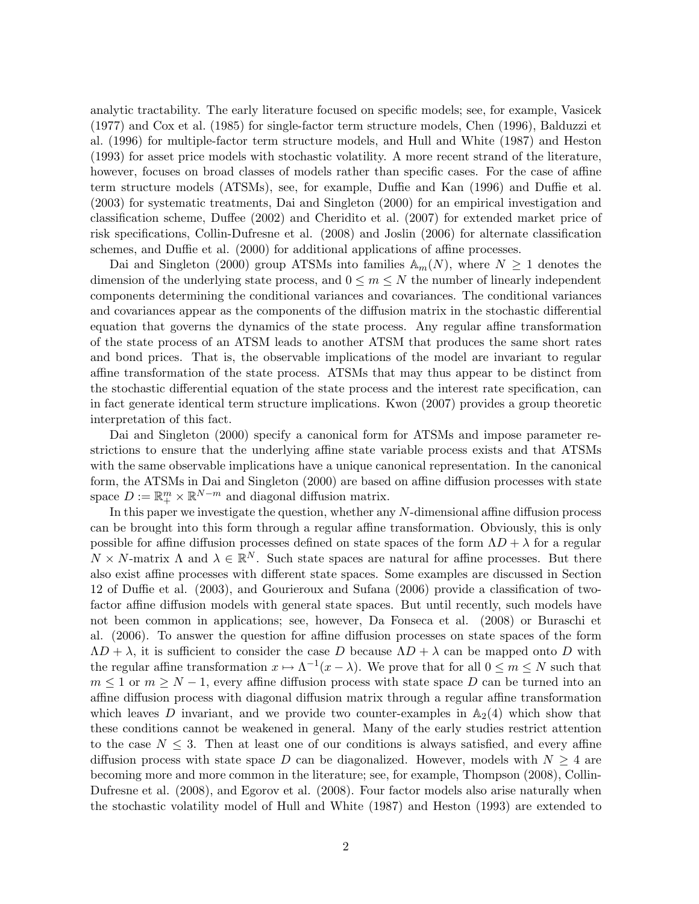analytic tractability. The early literature focused on specific models; see, for example, Vasicek (1977) and Cox et al. (1985) for single-factor term structure models, Chen (1996), Balduzzi et al. (1996) for multiple-factor term structure models, and Hull and White (1987) and Heston (1993) for asset price models with stochastic volatility. A more recent strand of the literature, however, focuses on broad classes of models rather than specific cases. For the case of affine term structure models (ATSMs), see, for example, Duffie and Kan (1996) and Duffie et al. (2003) for systematic treatments, Dai and Singleton (2000) for an empirical investigation and classification scheme, Duffee (2002) and Cheridito et al. (2007) for extended market price of risk specifications, Collin-Dufresne et al. (2008) and Joslin (2006) for alternate classification schemes, and Duffie et al. (2000) for additional applications of affine processes.

Dai and Singleton (2000) group ATSMs into families  $\mathbb{A}_m(N)$ , where  $N \geq 1$  denotes the dimension of the underlying state process, and  $0 \leq m \leq N$  the number of linearly independent components determining the conditional variances and covariances. The conditional variances and covariances appear as the components of the diffusion matrix in the stochastic differential equation that governs the dynamics of the state process. Any regular affine transformation of the state process of an ATSM leads to another ATSM that produces the same short rates and bond prices. That is, the observable implications of the model are invariant to regular affine transformation of the state process. ATSMs that may thus appear to be distinct from the stochastic differential equation of the state process and the interest rate specification, can in fact generate identical term structure implications. Kwon (2007) provides a group theoretic interpretation of this fact.

Dai and Singleton (2000) specify a canonical form for ATSMs and impose parameter restrictions to ensure that the underlying affine state variable process exists and that ATSMs with the same observable implications have a unique canonical representation. In the canonical form, the ATSMs in Dai and Singleton (2000) are based on affine diffusion processes with state space  $D := \mathbb{R}^m_+ \times \mathbb{R}^{N-m}$  and diagonal diffusion matrix.

In this paper we investigate the question, whether any  $N$ -dimensional affine diffusion process can be brought into this form through a regular affine transformation. Obviously, this is only possible for affine diffusion processes defined on state spaces of the form  $\Lambda D + \lambda$  for a regular  $N \times N$ -matrix  $\Lambda$  and  $\lambda \in \mathbb{R}^N$ . Such state spaces are natural for affine processes. But there also exist affine processes with different state spaces. Some examples are discussed in Section 12 of Duffie et al. (2003), and Gourieroux and Sufana (2006) provide a classification of twofactor affine diffusion models with general state spaces. But until recently, such models have not been common in applications; see, however, Da Fonseca et al. (2008) or Buraschi et al. (2006). To answer the question for affine diffusion processes on state spaces of the form  $\Lambda D + \lambda$ , it is sufficient to consider the case D because  $\Lambda D + \lambda$  can be mapped onto D with the regular affine transformation  $x \mapsto \Lambda^{-1}(x - \lambda)$ . We prove that for all  $0 \le m \le N$  such that  $m \leq 1$  or  $m \geq N-1$ , every affine diffusion process with state space D can be turned into an affine diffusion process with diagonal diffusion matrix through a regular affine transformation which leaves D invariant, and we provide two counter-examples in  $\mathbb{A}_2(4)$  which show that these conditions cannot be weakened in general. Many of the early studies restrict attention to the case  $N \leq 3$ . Then at least one of our conditions is always satisfied, and every affine diffusion process with state space D can be diagonalized. However, models with  $N \geq 4$  are becoming more and more common in the literature; see, for example, Thompson (2008), Collin-Dufresne et al. (2008), and Egorov et al. (2008). Four factor models also arise naturally when the stochastic volatility model of Hull and White (1987) and Heston (1993) are extended to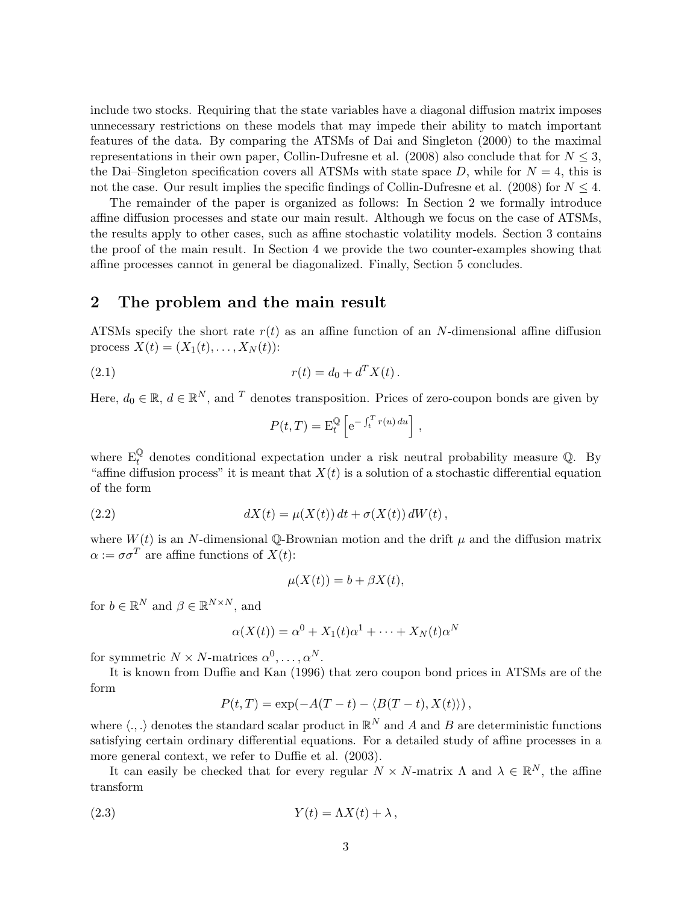include two stocks. Requiring that the state variables have a diagonal diffusion matrix imposes unnecessary restrictions on these models that may impede their ability to match important features of the data. By comparing the ATSMs of Dai and Singleton (2000) to the maximal representations in their own paper, Collin-Dufresne et al. (2008) also conclude that for  $N \leq 3$ , the Dai–Singleton specification covers all ATSMs with state space D, while for  $N = 4$ , this is not the case. Our result implies the specific findings of Collin-Dufresne et al. (2008) for  $N \leq 4$ .

The remainder of the paper is organized as follows: In Section 2 we formally introduce affine diffusion processes and state our main result. Although we focus on the case of ATSMs, the results apply to other cases, such as affine stochastic volatility models. Section 3 contains the proof of the main result. In Section 4 we provide the two counter-examples showing that affine processes cannot in general be diagonalized. Finally, Section 5 concludes.

## 2 The problem and the main result

ATSMs specify the short rate  $r(t)$  as an affine function of an N-dimensional affine diffusion process  $X(t) = (X_1(t), \ldots, X_N(t))$ :

(2.1) 
$$
r(t) = d_0 + d^T X(t).
$$

Here,  $d_0 \in \mathbb{R}$ ,  $d \in \mathbb{R}^N$ , and <sup>T</sup> denotes transposition. Prices of zero-coupon bonds are given by

$$
P(t,T) = \mathcal{E}_t^{\mathbb{Q}} \left[ e^{-\int_t^T r(u) du} \right],
$$

where  $E_t^{\mathbb{Q}}$  denotes conditional expectation under a risk neutral probability measure  $\mathbb{Q}$ . By "affine diffusion process" it is meant that  $X(t)$  is a solution of a stochastic differential equation of the form

(2.2) 
$$
dX(t) = \mu(X(t)) dt + \sigma(X(t)) dW(t),
$$

where  $W(t)$  is an N-dimensional Q-Brownian motion and the drift  $\mu$  and the diffusion matrix  $\alpha := \sigma \sigma^T$  are affine functions of  $X(t)$ :

$$
\mu(X(t)) = b + \beta X(t),
$$

for  $b \in \mathbb{R}^N$  and  $\beta \in \mathbb{R}^{N \times N}$ , and

$$
\alpha(X(t)) = \alpha^0 + X_1(t)\alpha^1 + \dots + X_N(t)\alpha^N
$$

for symmetric  $N \times N$ -matrices  $\alpha^0, \ldots, \alpha^N$ .

It is known from Duffie and Kan (1996) that zero coupon bond prices in ATSMs are of the form

$$
P(t,T) = \exp(-A(T-t) - \langle B(T-t), X(t) \rangle),
$$

where  $\langle ., .\rangle$  denotes the standard scalar product in  $\mathbb{R}^N$  and A and B are deterministic functions satisfying certain ordinary differential equations. For a detailed study of affine processes in a more general context, we refer to Duffie et al. (2003).

It can easily be checked that for every regular  $N \times N$ -matrix  $\Lambda$  and  $\lambda \in \mathbb{R}^N$ , the affine transform

$$
(2.3) \t Y(t) = \Lambda X(t) + \lambda,
$$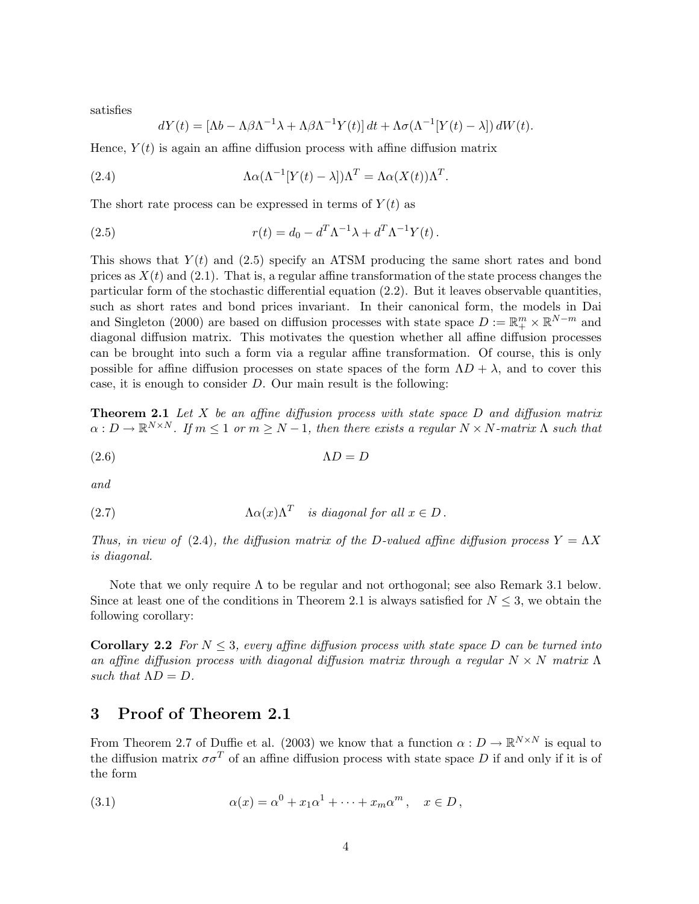satisfies

$$
dY(t) = [\Lambda b - \Lambda \beta \Lambda^{-1} \lambda + \Lambda \beta \Lambda^{-1} Y(t)] dt + \Lambda \sigma (\Lambda^{-1} [Y(t) - \lambda]) dW(t).
$$

Hence,  $Y(t)$  is again an affine diffusion process with affine diffusion matrix

(2.4) 
$$
\Lambda \alpha (\Lambda^{-1} [Y(t) - \lambda]) \Lambda^T = \Lambda \alpha (X(t)) \Lambda^T.
$$

The short rate process can be expressed in terms of  $Y(t)$  as

(2.5) 
$$
r(t) = d_0 - d^T \Lambda^{-1} \lambda + d^T \Lambda^{-1} Y(t).
$$

This shows that  $Y(t)$  and (2.5) specify an ATSM producing the same short rates and bond prices as  $X(t)$  and (2.1). That is, a regular affine transformation of the state process changes the particular form of the stochastic differential equation (2.2). But it leaves observable quantities, such as short rates and bond prices invariant. In their canonical form, the models in Dai and Singleton (2000) are based on diffusion processes with state space  $D := \mathbb{R}^m_+ \times \mathbb{R}^{N-m}$  and diagonal diffusion matrix. This motivates the question whether all affine diffusion processes can be brought into such a form via a regular affine transformation. Of course, this is only possible for affine diffusion processes on state spaces of the form  $\Lambda D + \lambda$ , and to cover this case, it is enough to consider D. Our main result is the following:

**Theorem 2.1** Let X be an affine diffusion process with state space  $D$  and diffusion matrix  $\alpha: D \to \mathbb{R}^{N \times N}$ . If  $m \leq 1$  or  $m \geq N-1$ , then there exists a regular  $N \times N$ -matrix  $\Lambda$  such that

(2.6) ΛD = D

and

(2.7) 
$$
\Lambda \alpha(x) \Lambda^T \quad \text{is diagonal for all } x \in D.
$$

Thus, in view of (2.4), the diffusion matrix of the D-valued affine diffusion process  $Y = \Lambda X$ is diagonal.

Note that we only require  $\Lambda$  to be regular and not orthogonal; see also Remark 3.1 below. Since at least one of the conditions in Theorem 2.1 is always satisfied for  $N \leq 3$ , we obtain the following corollary:

**Corollary 2.2** For  $N \leq 3$ , every affine diffusion process with state space D can be turned into an affine diffusion process with diagonal diffusion matrix through a regular  $N \times N$  matrix  $\Lambda$ such that  $\Lambda D = D$ .

### 3 Proof of Theorem 2.1

From Theorem 2.7 of Duffie et al. (2003) we know that a function  $\alpha: D \to \mathbb{R}^{N \times N}$  is equal to the diffusion matrix  $\sigma \sigma^T$  of an affine diffusion process with state space D if and only if it is of the form

(3.1) 
$$
\alpha(x) = \alpha^0 + x_1 \alpha^1 + \dots + x_m \alpha^m, \quad x \in D,
$$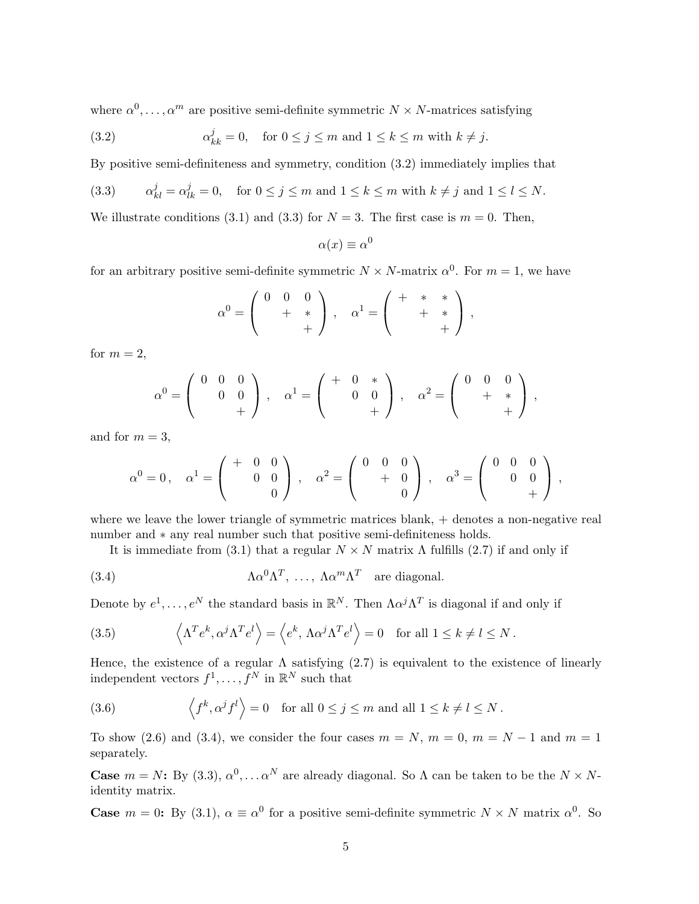where  $\alpha^0, \ldots, \alpha^m$  are positive semi-definite symmetric  $N \times N$ -matrices satisfying

(3.2) 
$$
\alpha_{kk}^j = 0, \quad \text{for } 0 \le j \le m \text{ and } 1 \le k \le m \text{ with } k \ne j.
$$

By positive semi-definiteness and symmetry, condition (3.2) immediately implies that

(3.3) 
$$
\alpha_{kl}^j = \alpha_{lk}^j = 0, \text{ for } 0 \le j \le m \text{ and } 1 \le k \le m \text{ with } k \ne j \text{ and } 1 \le l \le N.
$$

We illustrate conditions (3.1) and (3.3) for  $N = 3$ . The first case is  $m = 0$ . Then,

$$
\alpha(x) \equiv \alpha^0
$$

for an arbitrary positive semi-definite symmetric  $N \times N$ -matrix  $\alpha^0$ . For  $m = 1$ , we have

$$
\alpha^0 = \left(\begin{array}{cc} 0 & 0 & 0 \\ & + & * \\ & & + \end{array}\right) , \quad \alpha^1 = \left(\begin{array}{cc} + & * & * \\ & + & * \\ & & + \end{array}\right) ,
$$

for  $m = 2$ ,

$$
\alpha^0 = \begin{pmatrix} 0 & 0 & 0 \\ & 0 & 0 \\ & & + \end{pmatrix}, \quad \alpha^1 = \begin{pmatrix} + & 0 & * \\ & 0 & 0 \\ & & + \end{pmatrix}, \quad \alpha^2 = \begin{pmatrix} 0 & 0 & 0 \\ & + & * \\ & & + \end{pmatrix},
$$

and for  $m = 3$ ,

$$
\alpha^0 = 0 \, , \quad \alpha^1 = \left( \begin{array}{rrr} + & 0 & 0 \\ & 0 & 0 \\ & & 0 \end{array} \right) \, , \quad \alpha^2 = \left( \begin{array}{rrr} 0 & 0 & 0 \\ & + & 0 \\ & & 0 \end{array} \right) \, , \quad \alpha^3 = \left( \begin{array}{rrr} 0 & 0 & 0 \\ & 0 & 0 \\ & & + \end{array} \right) \, ,
$$

where we leave the lower triangle of symmetric matrices blank,  $+$  denotes a non-negative real number and ∗ any real number such that positive semi-definiteness holds.

It is immediate from (3.1) that a regular  $N \times N$  matrix  $\Lambda$  fulfills (2.7) if and only if

(3.4) 
$$
\Lambda \alpha^0 \Lambda^T, \ldots, \Lambda \alpha^m \Lambda^T \text{ are diagonal.}
$$

Denote by  $e^1, \ldots, e^N$  the standard basis in  $\mathbb{R}^N$ . Then  $\Lambda \alpha^j \Lambda^T$  is diagonal if and only if

(3.5) 
$$
\left\langle \Lambda^T e^k, \alpha^j \Lambda^T e^l \right\rangle = \left\langle e^k, \Lambda \alpha^j \Lambda^T e^l \right\rangle = 0 \text{ for all } 1 \le k \neq l \le N.
$$

Hence, the existence of a regular  $\Lambda$  satisfying (2.7) is equivalent to the existence of linearly independent vectors  $f^1, \ldots, f^N$  in  $\mathbb{R}^N$  such that

(3.6) 
$$
\langle f^k, \alpha^j f^l \rangle = 0
$$
 for all  $0 \le j \le m$  and all  $1 \le k \ne l \le N$ .

To show (2.6) and (3.4), we consider the four cases  $m = N$ ,  $m = 0$ ,  $m = N - 1$  and  $m = 1$ separately.

**Case**  $m = N$ : By (3.3),  $\alpha^0, \ldots, \alpha^N$  are already diagonal. So  $\Lambda$  can be taken to be the  $N \times N$ identity matrix.

**Case**  $m = 0$ : By (3.1),  $\alpha \equiv \alpha^0$  for a positive semi-definite symmetric  $N \times N$  matrix  $\alpha^0$ . So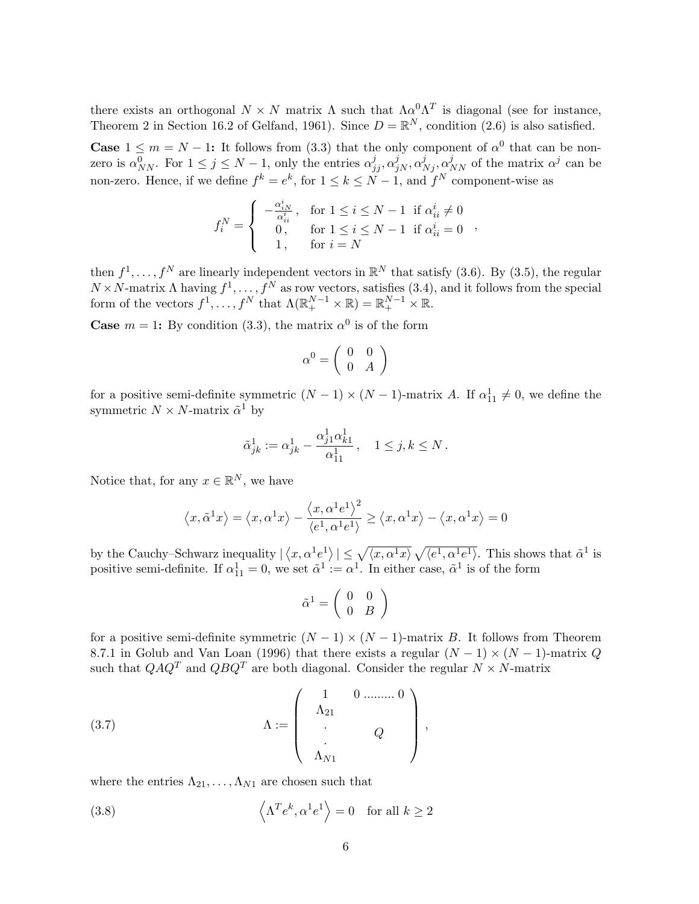there exists an orthogonal  $N \times N$  matrix  $\Lambda$  such that  $\Lambda \alpha^0 \Lambda^T$  is diagonal (see for instance, Theorem 2 in Section 16.2 of Gelfand, 1961). Since  $D = \mathbb{R}^N$ , condition (2.6) is also satisfied.

**Case**  $1 \leq m = N - 1$ : It follows from (3.3) that the only component of  $\alpha^0$  that can be nonzero is  $\alpha_{NN}^0$ . For  $1 \le j \le N-1$ , only the entries  $\alpha_{jj}^j, \alpha_{jN}^j, \alpha_{Nj}^j, \alpha_{NN}^j$  of the matrix  $\alpha^j$  can be non-zero. Hence, if we define  $f^k = e^k$ , for  $1 \le k \le N-1$ , and  $f^N$  component-wise as

$$
f_i^N = \begin{cases} -\frac{\alpha_{iN}^i}{\alpha_{ii}^i} , & \text{for } 1 \le i \le N-1 \text{ if } \alpha_{ii}^i \neq 0\\ 0, & \text{for } 1 \le i \le N-1 \text{ if } \alpha_{ii}^i = 0\\ 1, & \text{for } i = N \end{cases}
$$

then  $f^1, \ldots, f^N$  are linearly independent vectors in  $\mathbb{R}^N$  that satisfy (3.6). By (3.5), the regular  $N \times N$ -matrix  $\Lambda$  having  $f^1, \ldots, f^N$  as row vectors, satisfies (3.4), and it follows from the special form of the vectors  $f^1, \ldots, f^N$  that  $\Lambda(\mathbb{R}^{N-1}_+ \times \mathbb{R}) = \mathbb{R}^{N-1}_+ \times \mathbb{R}$ .

**Case**  $m = 1$ : By condition (3.3), the matrix  $\alpha^0$  is of the form

$$
\alpha^0 = \left(\begin{array}{cc} 0 & 0 \\ 0 & A \end{array}\right)
$$

for a positive semi-definite symmetric  $(N-1) \times (N-1)$ -matrix A. If  $\alpha_{11}^1 \neq 0$ , we define the symmetric  $N \times N$ -matrix  $\tilde{\alpha}^1$  by

$$
\tilde \alpha^{1}_{jk} := \alpha^{1}_{jk} - \frac{\alpha^{1}_{j1}\alpha^{1}_{k1}}{\alpha^{1}_{11}}\,, \quad 1 \leq j,k \leq N\,.
$$

Notice that, for any  $x \in \mathbb{R}^N$ , we have

$$
\left\langle x, \tilde \alpha^1 x\right\rangle=\left\langle x, \alpha^1 x\right\rangle-\frac{\left\langle x, \alpha^1 e^1\right\rangle^2}{\left\langle e^1, \alpha^1 e^1\right\rangle}\geq \left\langle x, \alpha^1 x\right\rangle-\left\langle x, \alpha^1 x\right\rangle=0
$$

by the Cauchy–Schwarz inequality |  $\langle x, \alpha^1 e^1 \rangle \leq \sqrt{\langle x, \alpha^1 x \rangle}$ p  $\overline{\langle e^1, \alpha^1 e^1 \rangle}$ . This shows that  $\tilde{\alpha}^1$  is positive semi-definite. If  $\alpha_{11}^1 = 0$ , we set  $\tilde{\alpha}^1 := \alpha^1$ . In either case,  $\tilde{\alpha}^1$  is of the form

$$
\tilde{\alpha}^1 = \left(\begin{array}{cc} 0 & 0 \\ 0 & B \end{array}\right)
$$

for a positive semi-definite symmetric  $(N - 1) \times (N - 1)$ -matrix B. It follows from Theorem 8.7.1 in Golub and Van Loan (1996) that there exists a regular  $(N-1) \times (N-1)$ -matrix Q such that  $QAQ^T$  and  $QBQ^T$  are both diagonal. Consider the regular  $N \times N$ -matrix

(3.7) 
$$
\Lambda := \begin{pmatrix} 1 & 0 & \dots & 0 \\ \Lambda_{21} & & & \\ . & & Q & \\ . & & & \\ \Lambda_{N1} & & & \end{pmatrix},
$$

where the entries  $\Lambda_{21}, \ldots, \Lambda_{N1}$  are chosen such that

(3.8) 
$$
\left\langle \Lambda^T e^k, \alpha^1 e^1 \right\rangle = 0 \text{ for all } k \ge 2
$$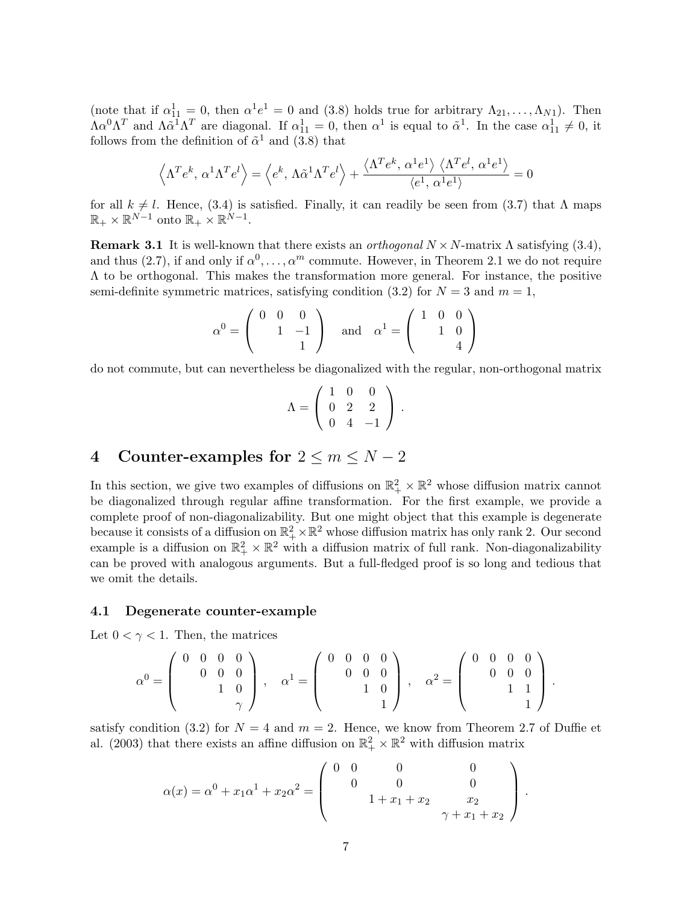(note that if  $\alpha_{11}^1 = 0$ , then  $\alpha^1 e^1 = 0$  and (3.8) holds true for arbitrary  $\Lambda_{21}, \ldots, \Lambda_{N1}$ ). Then  $\Lambda \alpha^0 \Lambda^T$  and  $\Lambda \tilde{\alpha}^1 \Lambda^T$  are diagonal. If  $\alpha_{11}^1 = 0$ , then  $\alpha^1$  is equal to  $\tilde{\alpha}^1$ . In the case  $\alpha_{11}^1 \neq 0$ , it follows from the definition of  $\tilde{\alpha}^1$  and (3.8) that

$$
\left\langle \Lambda^T e^k, \, \alpha^1 \Lambda^T e^l \right\rangle = \left\langle e^k, \, \Lambda \tilde{\alpha}^1 \Lambda^T e^l \right\rangle + \frac{\left\langle \Lambda^T e^k, \, \alpha^1 e^1 \right\rangle \left\langle \Lambda^T e^l, \, \alpha^1 e^1 \right\rangle}{\left\langle e^1, \, \alpha^1 e^1 \right\rangle} = 0
$$

for all  $k \neq l$ . Hence, (3.4) is satisfied. Finally, it can readily be seen from (3.7) that  $\Lambda$  maps  $\mathbb{R}_+ \times \mathbb{R}^{N-1}$  onto  $\mathbb{R}_+ \times \mathbb{R}^{N-1}$ .

Remark 3.1 It is well-known that there exists an *orthogonal*  $N \times N$ -matrix  $\Lambda$  satisfying (3.4), and thus (2.7), if and only if  $\alpha^0, \ldots, \alpha^m$  commute. However, in Theorem 2.1 we do not require  $\Lambda$  to be orthogonal. This makes the transformation more general. For instance, the positive semi-definite symmetric matrices, satisfying condition (3.2) for  $N = 3$  and  $m = 1$ ,

$$
\alpha^0 = \left( \begin{array}{rrr} 0 & 0 & 0 \\ & 1 & -1 \\ & & 1 \end{array} \right) \quad \text{and} \quad \alpha^1 = \left( \begin{array}{rrr} 1 & 0 & 0 \\ & 1 & 0 \\ & & 4 \end{array} \right)
$$

do not commute, but can nevertheless be diagonalized with the regular, non-orthogonal matrix

$$
\Lambda = \left( \begin{array}{rrr} 1 & 0 & 0 \\ 0 & 2 & 2 \\ 0 & 4 & -1 \end{array} \right) .
$$

## 4 Counter-examples for  $2 \le m \le N-2$

In this section, we give two examples of diffusions on  $\mathbb{R}^2_+ \times \mathbb{R}^2$  whose diffusion matrix cannot be diagonalized through regular affine transformation. For the first example, we provide a complete proof of non-diagonalizability. But one might object that this example is degenerate because it consists of a diffusion on  $\mathbb{R}^2_+ \times \mathbb{R}^2$  whose diffusion matrix has only rank 2. Our second example is a diffusion on  $\mathbb{R}^2_+ \times \mathbb{R}^2$  with a diffusion matrix of full rank. Non-diagonalizability can be proved with analogous arguments. But a full-fledged proof is so long and tedious that we omit the details.

### 4.1 Degenerate counter-example

Let  $0 < \gamma < 1$ . Then, the matrices

$$
\alpha^0 = \left(\begin{array}{rrr} 0 & 0 & 0 & 0 \\ & 0 & 0 & 0 \\ & & 1 & 0 \\ & & & \gamma \end{array}\right)\,,\quad \alpha^1 = \left(\begin{array}{rrr} 0 & 0 & 0 & 0 \\ & 0 & 0 & 0 \\ & & 1 & 0 \\ & & & 1 \end{array}\right)\,,\quad \alpha^2 = \left(\begin{array}{rrr} 0 & 0 & 0 & 0 \\ & 0 & 0 & 0 \\ & & 1 & 1 \\ & & & 1 \end{array}\right)\,.
$$

satisfy condition (3.2) for  $N = 4$  and  $m = 2$ . Hence, we know from Theorem 2.7 of Duffie et al. (2003) that there exists an affine diffusion on  $\mathbb{R}^2_+ \times \mathbb{R}^2$  with diffusion matrix

$$
\alpha(x) = \alpha^0 + x_1 \alpha^1 + x_2 \alpha^2 = \begin{pmatrix} 0 & 0 & 0 & 0 \\ 0 & 0 & 0 & 0 \\ 0 & 1 + x_1 + x_2 & x_2 \\ 0 & 0 & \gamma + x_1 + x_2 \end{pmatrix}.
$$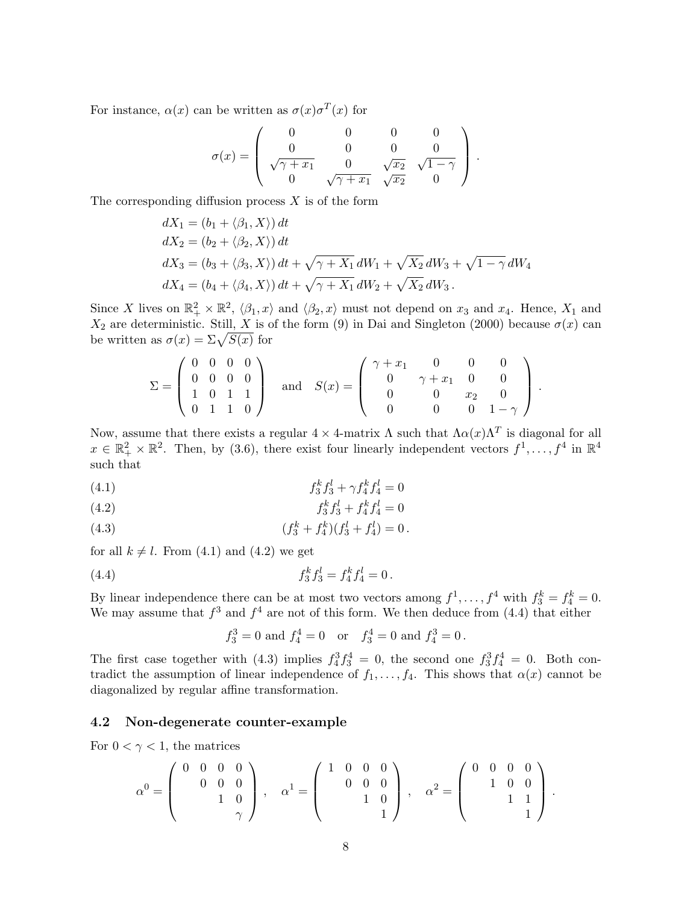For instance,  $\alpha(x)$  can be written as  $\sigma(x)\sigma^{T}(x)$  for

$$
\sigma(x) = \begin{pmatrix} 0 & 0 & 0 & 0 \\ 0 & 0 & 0 & 0 \\ \sqrt{\gamma + x_1} & 0 & \sqrt{x_2} & \sqrt{1 - \gamma} \\ 0 & \sqrt{\gamma + x_1} & \sqrt{x_2} & 0 \end{pmatrix}.
$$

The corresponding diffusion process  $X$  is of the form

$$
dX_1 = (b_1 + \langle \beta_1, X \rangle) dt
$$
  
\n
$$
dX_2 = (b_2 + \langle \beta_2, X \rangle) dt
$$
  
\n
$$
dX_3 = (b_3 + \langle \beta_3, X \rangle) dt + \sqrt{\gamma + X_1} dW_1 + \sqrt{X_2} dW_3 + \sqrt{1 - \gamma} dW_4
$$
  
\n
$$
dX_4 = (b_4 + \langle \beta_4, X \rangle) dt + \sqrt{\gamma + X_1} dW_2 + \sqrt{X_2} dW_3.
$$

Since X lives on  $\mathbb{R}^2_+ \times \mathbb{R}^2$ ,  $\langle \beta_1, x \rangle$  and  $\langle \beta_2, x \rangle$  must not depend on  $x_3$  and  $x_4$ . Hence,  $X_1$  and  $X_2$  are deterministic. Still, X is of the form (9) in Dai and Singleton (2000) because  $\sigma(x)$  can  $\Lambda_2$  are deterministic. Still,  $\Lambda$  is c<br>be written as  $\sigma(x) = \Sigma \sqrt{S(x)}$  for

$$
\Sigma = \begin{pmatrix} 0 & 0 & 0 & 0 \\ 0 & 0 & 0 & 0 \\ 1 & 0 & 1 & 1 \\ 0 & 1 & 1 & 0 \end{pmatrix} \quad \text{and} \quad S(x) = \begin{pmatrix} \gamma + x_1 & 0 & 0 & 0 \\ 0 & \gamma + x_1 & 0 & 0 \\ 0 & 0 & x_2 & 0 \\ 0 & 0 & 0 & 1 - \gamma \end{pmatrix}.
$$

Now, assume that there exists a regular  $4 \times 4$ -matrix  $\Lambda$  such that  $\Lambda \alpha(x) \Lambda^T$  is diagonal for all  $x \in \mathbb{R}_+^2 \times \mathbb{R}^2$ . Then, by (3.6), there exist four linearly independent vectors  $f^1, \ldots, f^4$  in  $\mathbb{R}^4$ such that

(4.1) 
$$
f_3^k f_3^l + \gamma f_4^k f_4^l = 0
$$

$$
(4.2) \t\t f_3^k f_3^l + f_4^k f_4^l = 0
$$

(4.3) 
$$
(f_3^k + f_4^k)(f_3^l + f_4^l) = 0.
$$

for all  $k \neq l$ . From (4.1) and (4.2) we get

(4.4) 
$$
f_3^k f_3^l = f_4^k f_4^l = 0.
$$

By linear independence there can be at most two vectors among  $f^1, \ldots, f^4$  with  $f_3^k = f_4^k = 0$ . We may assume that  $f^3$  and  $f^4$  are not of this form. We then deduce from (4.4) that either

$$
f_3^3 = 0
$$
 and  $f_4^4 = 0$  or  $f_3^4 = 0$  and  $f_4^3 = 0$ .

The first case together with (4.3) implies  $f_4^3 f_3^4 = 0$ , the second one  $f_3^3 f_4^4 = 0$ . Both contradict the assumption of linear independence of  $f_1, \ldots, f_4$ . This shows that  $\alpha(x)$  cannot be diagonalized by regular affine transformation.

### 4.2 Non-degenerate counter-example

For  $0 < \gamma < 1$ , the matrices

$$
\alpha^0 = \left(\begin{array}{rrr} 0 & 0 & 0 & 0 \\ & 0 & 0 & 0 \\ & & 1 & 0 \\ & & & \gamma \end{array}\right)\,,\quad \alpha^1 = \left(\begin{array}{rrr} 1 & 0 & 0 & 0 \\ & 0 & 0 & 0 \\ & & 1 & 0 \\ & & & 1 \end{array}\right)\,,\quad \alpha^2 = \left(\begin{array}{rrr} 0 & 0 & 0 & 0 \\ & 1 & 0 & 0 \\ & & 1 & 1 \\ & & & 1 \end{array}\right)\,.
$$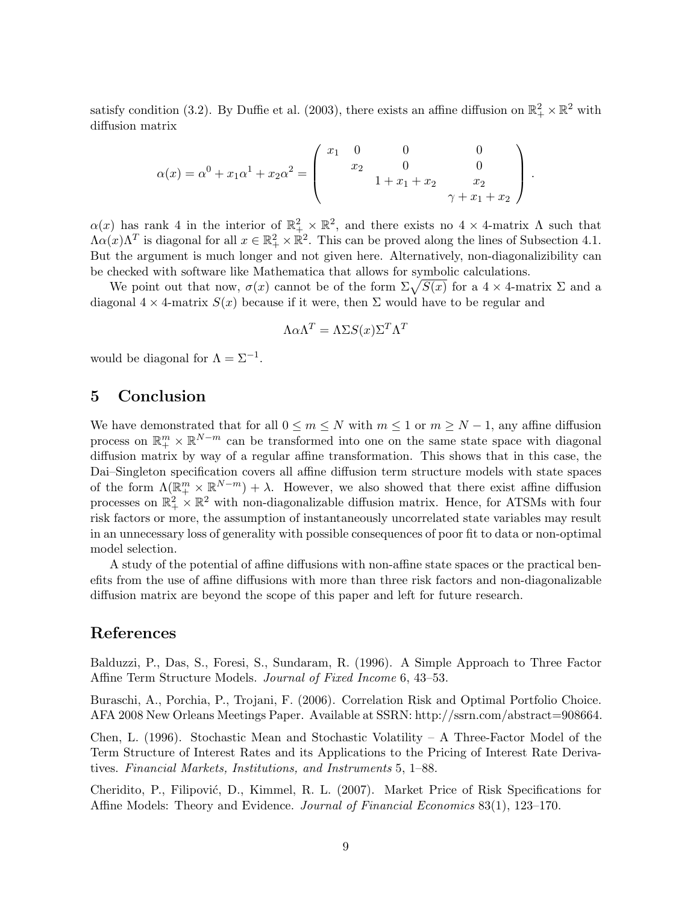satisfy condition (3.2). By Duffie et al. (2003), there exists an affine diffusion on  $\mathbb{R}^2_+ \times \mathbb{R}^2$  with diffusion matrix

$$
\alpha(x) = \alpha^0 + x_1 \alpha^1 + x_2 \alpha^2 = \begin{pmatrix} x_1 & 0 & 0 & 0 \\ x_2 & 0 & 0 \\ 1 + x_1 + x_2 & x_2 \\ 0 & 0 & \gamma + x_1 + x_2 \end{pmatrix}.
$$

 $\alpha(x)$  has rank 4 in the interior of  $\mathbb{R}^2_+ \times \mathbb{R}^2$ , and there exists no  $4 \times 4$ -matrix  $\Lambda$  such that  $\Lambda \alpha(x) \Lambda^T$  is diagonal for all  $x \in \mathbb{R}_+^2 \times \mathbb{R}^2$ . This can be proved along the lines of Subsection 4.1. But the argument is much longer and not given here. Alternatively, non-diagonalizibility can be checked with software like Mathematica that allows for symbolic calculations.

enecked with software like Mathematica that allows for symbolic calculations.<br>We point out that now,  $\sigma(x)$  cannot be of the form  $\Sigma \sqrt{S(x)}$  for a 4  $\times$  4-matrix  $\Sigma$  and a diagonal  $4 \times 4$ -matrix  $S(x)$  because if it were, then  $\Sigma$  would have to be regular and

$$
\Lambda \alpha \Lambda^T = \Lambda \Sigma S(x) \Sigma^T \Lambda^T
$$

would be diagonal for  $\Lambda = \Sigma^{-1}$ .

## 5 Conclusion

We have demonstrated that for all  $0 \le m \le N$  with  $m \le 1$  or  $m \ge N-1$ , any affine diffusion process on  $\mathbb{R}^m_+ \times \mathbb{R}^{N-m}$  can be transformed into one on the same state space with diagonal diffusion matrix by way of a regular affine transformation. This shows that in this case, the Dai–Singleton specification covers all affine diffusion term structure models with state spaces of the form  $\Lambda(\mathbb{R}^m_+ \times \mathbb{R}^{N-m}) + \lambda$ . However, we also showed that there exist affine diffusion processes on  $\mathbb{R}^2_+ \times \mathbb{R}^2$  with non-diagonalizable diffusion matrix. Hence, for ATSMs with four risk factors or more, the assumption of instantaneously uncorrelated state variables may result in an unnecessary loss of generality with possible consequences of poor fit to data or non-optimal model selection.

A study of the potential of affine diffusions with non-affine state spaces or the practical benefits from the use of affine diffusions with more than three risk factors and non-diagonalizable diffusion matrix are beyond the scope of this paper and left for future research.

## References

Balduzzi, P., Das, S., Foresi, S., Sundaram, R. (1996). A Simple Approach to Three Factor Affine Term Structure Models. *Journal of Fixed Income* 6, 43–53.

Buraschi, A., Porchia, P., Trojani, F. (2006). Correlation Risk and Optimal Portfolio Choice. AFA 2008 New Orleans Meetings Paper. Available at SSRN: http://ssrn.com/abstract=908664.

Chen, L. (1996). Stochastic Mean and Stochastic Volatility – A Three-Factor Model of the Term Structure of Interest Rates and its Applications to the Pricing of Interest Rate Derivatives. Financial Markets, Institutions, and Instruments 5, 1–88.

Cheridito, P., Filipović, D., Kimmel, R. L. (2007). Market Price of Risk Specifications for Affine Models: Theory and Evidence. Journal of Financial Economics 83(1), 123–170.